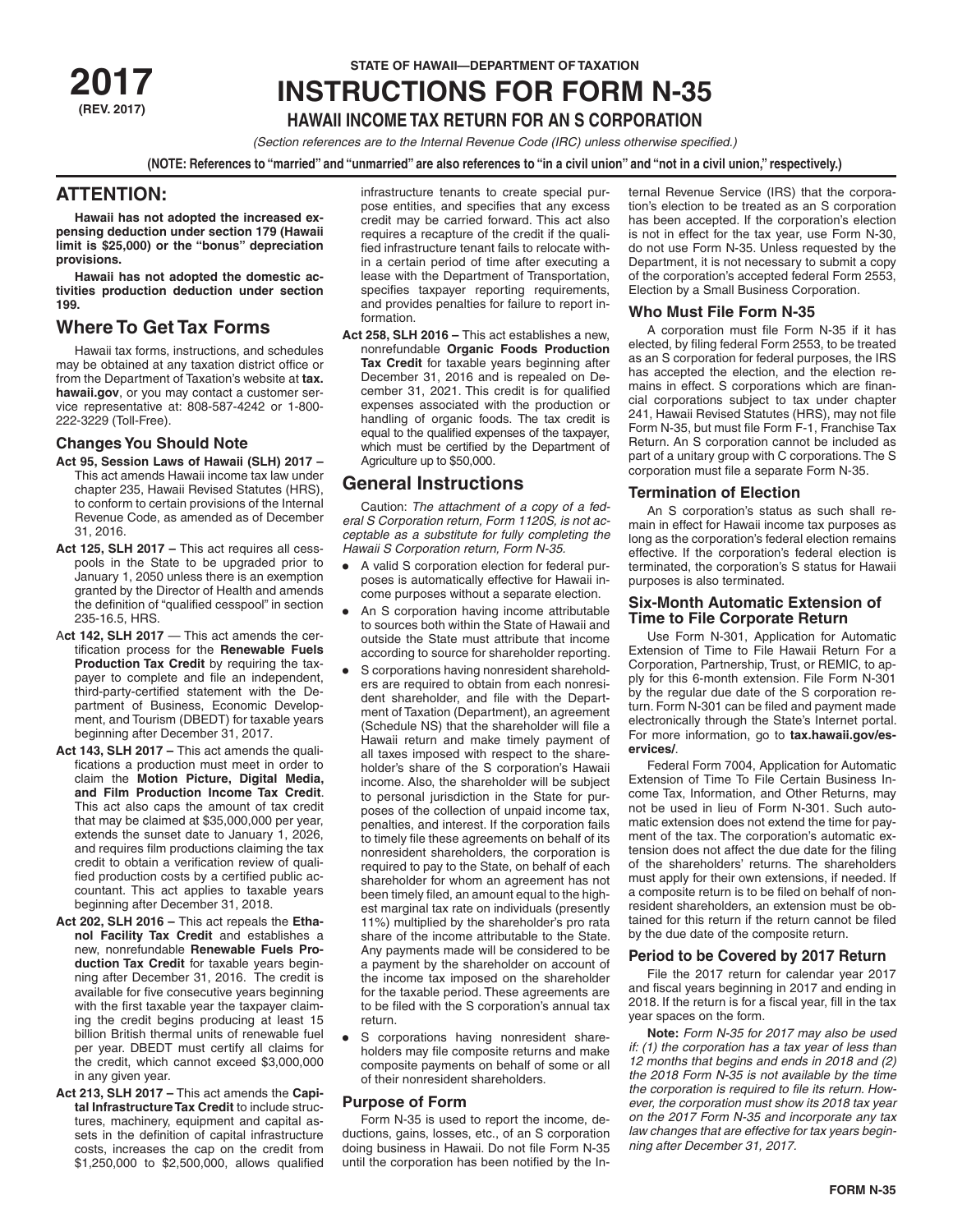**(REV. 2017)**

# **STATE OF HAWAII—DEPARTMENT OF TAXATION BUTSER PROPERTY PROPERTY ATTIONS**

# **HAWAII INCOME TAX RETURN FOR AN S CORPORATION**

*(Section references are to the Internal Revenue Code (IRC) unless otherwise specified.)*

**(NOTE: References to "married" and "unmarried" are also references to "in a civil union" and "not in a civil union," respectively.)**

# **ATTENTION:**

**Hawaii has not adopted the increased expensing deduction under section 179 (Hawaii limit is \$25,000) or the "bonus" depreciation provisions.**

**Hawaii has not adopted the domestic activities production deduction under section 199.**

# **Where To Get Tax Forms**

Hawaii tax forms, instructions, and schedules may be obtained at any taxation district office or from the Department of Taxation's website at **tax. hawaii.gov**, or you may contact a customer service representative at: 808-587-4242 or 1-800- 222-3229 (Toll-Free).

# **Changes You Should Note**

- **Act 95, Session Laws of Hawaii (SLH) 2017**  This act amends Hawaii income tax law under chapter 235, Hawaii Revised Statutes (HRS), to conform to certain provisions of the Internal Revenue Code, as amended as of December 31, 2016.
- **Act 125, SLH 2017** This act requires all cesspools in the State to be upgraded prior to January 1, 2050 unless there is an exemption granted by the Director of Health and amends the definition of "qualified cesspool" in section 235-16.5, HRS.
- A**ct 142, SLH 2017**  This act amends the certification process for the **Renewable Fuels Production Tax Credit** by requiring the taxpayer to complete and file an independent, third-party-certified statement with the Department of Business, Economic Development, and Tourism (DBEDT) for taxable years beginning after December 31, 2017.
- **Act 143, SLH 2017** This act amends the qualifications a production must meet in order to claim the **Motion Picture, Digital Media, and Film Production Income Tax Credit**. This act also caps the amount of tax credit that may be claimed at \$35,000,000 per year, extends the sunset date to January 1, 2026, and requires film productions claiming the tax credit to obtain a verification review of qualified production costs by a certified public accountant. This act applies to taxable years beginning after December 31, 2018.
- **Act 202, SLH 2016** This act repeals the **Ethanol Facility Tax Credit** and establishes a new, nonrefundable **Renewable Fuels Production Tax Credit** for taxable years beginning after December 31, 2016. The credit is available for five consecutive years beginning with the first taxable year the taxpayer claiming the credit begins producing at least 15 billion British thermal units of renewable fuel per year. DBEDT must certify all claims for the credit, which cannot exceed \$3,000,000 in any given year.
- **Act 213, SLH 2017 –** This act amends the **Capital Infrastructure Tax Credit** to include structures, machinery, equipment and capital assets in the definition of capital infrastructure costs, increases the cap on the credit from \$1,250,000 to \$2,500,000, allows qualified

infrastructure tenants to create special purpose entities, and specifies that any excess credit may be carried forward. This act also requires a recapture of the credit if the qualified infrastructure tenant fails to relocate within a certain period of time after executing a lease with the Department of Transportation, specifies taxpayer reporting requirements, and provides penalties for failure to report information.

**Act 258, SLH 2016 –** This act establishes a new, nonrefundable **Organic Foods Production Tax Credit** for taxable years beginning after December 31, 2016 and is repealed on December 31, 2021. This credit is for qualified expenses associated with the production or handling of organic foods. The tax credit is equal to the qualified expenses of the taxpayer, which must be certified by the Department of Agriculture up to \$50,000.

# **General Instructions**

Caution: *The attachment of a copy of a federal S Corporation return, Form 1120S, is not acceptable as a substitute for fully completing the Hawaii S Corporation return, Form N-35.*

- A valid S corporation election for federal purposes is automatically effective for Hawaii income purposes without a separate election.
- An S corporation having income attributable to sources both within the State of Hawaii and outside the State must attribute that income according to source for shareholder reporting.
- S corporations having nonresident shareholders are required to obtain from each nonresident shareholder, and file with the Department of Taxation (Department), an agreement (Schedule NS) that the shareholder will file a Hawaii return and make timely payment of all taxes imposed with respect to the shareholder's share of the S corporation's Hawaii income. Also, the shareholder will be subject to personal jurisdiction in the State for purposes of the collection of unpaid income tax, penalties, and interest. If the corporation fails to timely file these agreements on behalf of its nonresident shareholders, the corporation is required to pay to the State, on behalf of each shareholder for whom an agreement has not been timely filed, an amount equal to the highest marginal tax rate on individuals (presently 11%) multiplied by the shareholder's pro rata share of the income attributable to the State. Any payments made will be considered to be a payment by the shareholder on account of the income tax imposed on the shareholder for the taxable period. These agreements are to be filed with the S corporation's annual tax return.
- S corporations having nonresident shareholders may file composite returns and make composite payments on behalf of some or all of their nonresident shareholders.

# **Purpose of Form**

Form N-35 is used to report the income, deductions, gains, losses, etc., of an S corporation doing business in Hawaii. Do not file Form N-35 until the corporation has been notified by the Internal Revenue Service (IRS) that the corporation's election to be treated as an S corporation has been accepted. If the corporation's election is not in effect for the tax year, use Form N-30, do not use Form N-35. Unless requested by the Department, it is not necessary to submit a copy of the corporation's accepted federal Form 2553, Election by a Small Business Corporation.

# **Who Must File Form N-35**

A corporation must file Form N-35 if it has elected, by filing federal Form 2553, to be treated as an S corporation for federal purposes, the IRS has accepted the election, and the election remains in effect. S corporations which are financial corporations subject to tax under chapter 241, Hawaii Revised Statutes (HRS), may not file Form N-35, but must file Form F-1, Franchise Tax Return. An S corporation cannot be included as part of a unitary group with C corporations. The S corporation must file a separate Form N-35.

# **Termination of Election**

An S corporation's status as such shall remain in effect for Hawaii income tax purposes as long as the corporation's federal election remains effective. If the corporation's federal election is terminated, the corporation's S status for Hawaii purposes is also terminated.

# **Six-Month Automatic Extension of Time to File Corporate Return**

Use Form N-301, Application for Automatic Extension of Time to File Hawaii Return For a Corporation, Partnership, Trust, or REMIC, to apply for this 6-month extension. File Form N-301 by the regular due date of the S corporation return. Form N-301 can be filed and payment made electronically through the State's Internet portal. For more information, go to **tax.hawaii.gov/eservices/**.

Federal Form 7004, Application for Automatic Extension of Time To File Certain Business Income Tax, Information, and Other Returns, may not be used in lieu of Form N-301. Such automatic extension does not extend the time for payment of the tax. The corporation's automatic extension does not affect the due date for the filing of the shareholders' returns. The shareholders must apply for their own extensions, if needed. If a composite return is to be filed on behalf of nonresident shareholders, an extension must be obtained for this return if the return cannot be filed by the due date of the composite return.

# **Period to be Covered by 2017 Return**

File the 2017 return for calendar year 2017 and fiscal years beginning in 2017 and ending in 2018. If the return is for a fiscal year, fill in the tax year spaces on the form.

**Note:** *Form N-35 for 2017 may also be used if: (1) the corporation has a tax year of less than 12 months that begins and ends in 2018 and (2) the 2018 Form N-35 is not available by the time the corporation is required to file its return. However, the corporation must show its 2018 tax year on the 2017 Form N-35 and incorporate any tax law changes that are effective for tax years beginning after December 31, 2017.*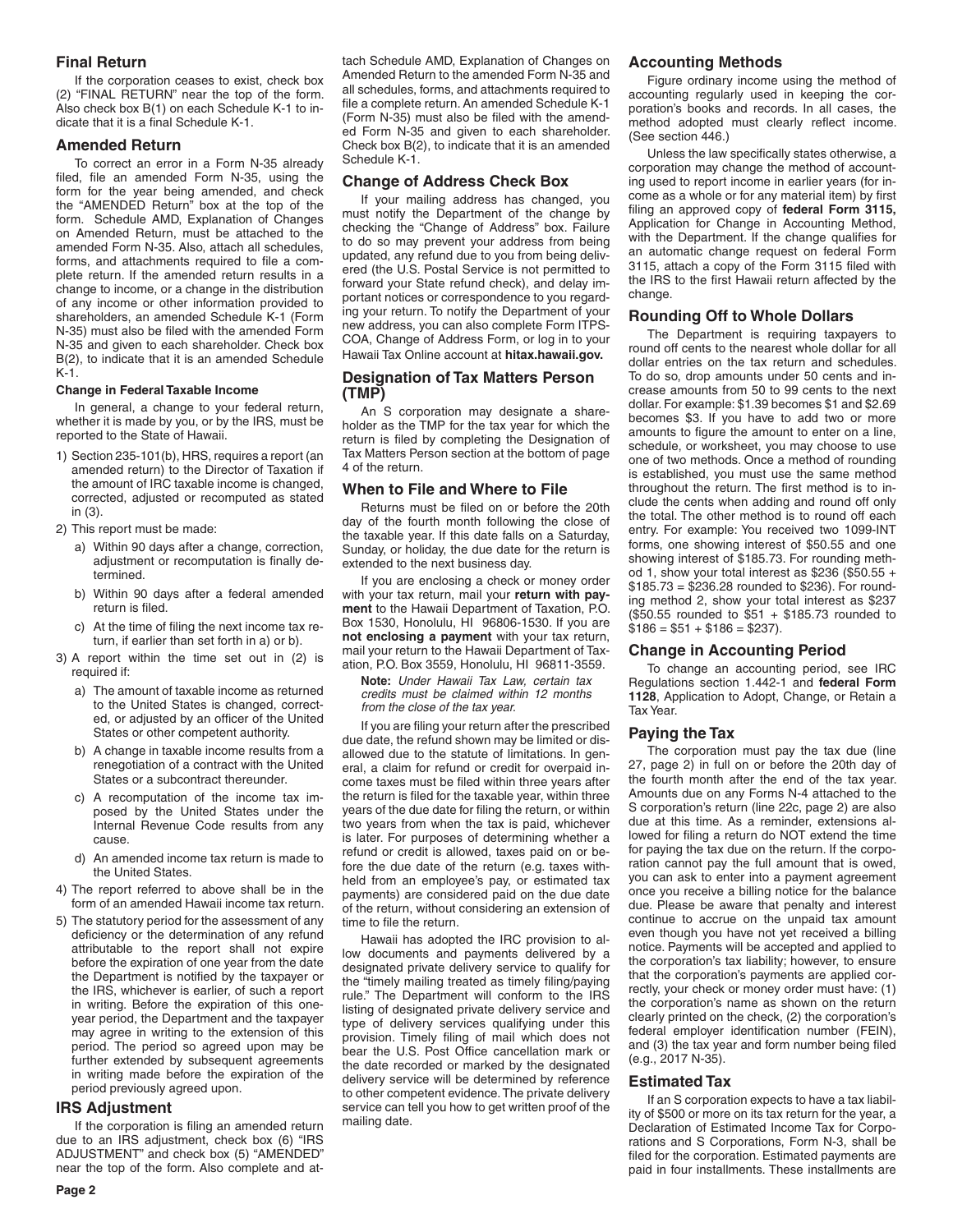# **Final Return**

If the corporation ceases to exist, check box (2) "FINAL RETURN" near the top of the form. Also check box B(1) on each Schedule K-1 to indicate that it is a final Schedule K-1.

# **Amended Return**

To correct an error in a Form N-35 already filed, file an amended Form N-35, using the form for the year being amended, and check the "AMENDED Return" box at the top of the form. Schedule AMD, Explanation of Changes on Amended Return, must be attached to the amended Form N-35. Also, attach all schedules, forms, and attachments required to file a complete return. If the amended return results in a change to income, or a change in the distribution of any income or other information provided to shareholders, an amended Schedule K-1 (Form N-35) must also be filed with the amended Form N-35 and given to each shareholder. Check box B(2), to indicate that it is an amended Schedule K-1.

## **Change in Federal Taxable Income**

In general, a change to your federal return, whether it is made by you, or by the IRS, must be reported to the State of Hawaii.

- 1) Section 235-101(b), HRS, requires a report (an amended return) to the Director of Taxation if the amount of IRC taxable income is changed, corrected, adjusted or recomputed as stated in (3).
- 2) This report must be made:
	- a) Within 90 days after a change, correction, adjustment or recomputation is finally determined.
	- b) Within 90 days after a federal amended return is filed.
	- c) At the time of filing the next income tax return, if earlier than set forth in a) or b).
- 3) A report within the time set out in (2) is required if:
	- a) The amount of taxable income as returned to the United States is changed, corrected, or adjusted by an officer of the United States or other competent authority.
	- b) A change in taxable income results from a renegotiation of a contract with the United States or a subcontract thereunder.
	- c) A recomputation of the income tax imposed by the United States under the Internal Revenue Code results from any cause.
	- d) An amended income tax return is made to the United States.
- 4) The report referred to above shall be in the form of an amended Hawaii income tax return.
- 5) The statutory period for the assessment of any deficiency or the determination of any refund attributable to the report shall not expire before the expiration of one year from the date the Department is notified by the taxpayer or the IRS, whichever is earlier, of such a report in writing. Before the expiration of this oneyear period, the Department and the taxpayer may agree in writing to the extension of this period. The period so agreed upon may be further extended by subsequent agreements in writing made before the expiration of the period previously agreed upon.

# **IRS Adjustment**

If the corporation is filing an amended return due to an IRS adjustment, check box (6) "IRS ADJUSTMENT" and check box (5) "AMENDED" near the top of the form. Also complete and at-

tach Schedule AMD, Explanation of Changes on Amended Return to the amended Form N-35 and all schedules, forms, and attachments required to file a complete return. An amended Schedule K-1 (Form N-35) must also be filed with the amended Form N-35 and given to each shareholder. Check box B(2), to indicate that it is an amended Schedule K-1.

# **Change of Address Check Box**

If your mailing address has changed, you must notify the Department of the change by checking the "Change of Address" box. Failure to do so may prevent your address from being updated, any refund due to you from being delivered (the U.S. Postal Service is not permitted to forward your State refund check), and delay important notices or correspondence to you regarding your return. To notify the Department of your new address, you can also complete Form ITPS-COA, Change of Address Form, or log in to your Hawaii Tax Online account at **hitax.hawaii.gov.**

# **Designation of Tax Matters Person (TMP)**

An S corporation may designate a shareholder as the TMP for the tax year for which the return is filed by completing the Designation of Tax Matters Person section at the bottom of page 4 of the return.

# **When to File and Where to File**

Returns must be filed on or before the 20th day of the fourth month following the close of the taxable year. If this date falls on a Saturday, Sunday, or holiday, the due date for the return is extended to the next business day.

If you are enclosing a check or money order with your tax return, mail your **return with payment** to the Hawaii Department of Taxation, P.O. Box 1530, Honolulu, HI 96806-1530. If you are **not enclosing a payment** with your tax return, mail your return to the Hawaii Department of Taxation, P.O. Box 3559, Honolulu, HI 96811-3559.

**Note:** *Under Hawaii Tax Law, certain tax credits must be claimed within 12 months from the close of the tax year.* 

If you are filing your return after the prescribed due date, the refund shown may be limited or disallowed due to the statute of limitations. In general, a claim for refund or credit for overpaid income taxes must be filed within three years after the return is filed for the taxable year, within three years of the due date for filing the return, or within two years from when the tax is paid, whichever is later. For purposes of determining whether a refund or credit is allowed, taxes paid on or before the due date of the return (e.g. taxes withheld from an employee's pay, or estimated tax payments) are considered paid on the due date of the return, without considering an extension of time to file the return.

Hawaii has adopted the IRC provision to allow documents and payments delivered by a designated private delivery service to qualify for the "timely mailing treated as timely filing/paying rule." The Department will conform to the IRS listing of designated private delivery service and type of delivery services qualifying under this provision. Timely filing of mail which does not bear the U.S. Post Office cancellation mark or the date recorded or marked by the designated delivery service will be determined by reference to other competent evidence. The private delivery service can tell you how to get written proof of the mailing date.

# **Accounting Methods**

Figure ordinary income using the method of accounting regularly used in keeping the corporation's books and records. In all cases, the method adopted must clearly reflect income. (See section 446.)

Unless the law specifically states otherwise, a corporation may change the method of accounting used to report income in earlier years (for income as a whole or for any material item) by first filing an approved copy of **federal Form 3115,** Application for Change in Accounting Method, with the Department. If the change qualifies for an automatic change request on federal Form 3115, attach a copy of the Form 3115 filed with the IRS to the first Hawaii return affected by the change.

# **Rounding Off to Whole Dollars**

The Department is requiring taxpayers to round off cents to the nearest whole dollar for all dollar entries on the tax return and schedules. To do so, drop amounts under 50 cents and increase amounts from 50 to 99 cents to the next dollar. For example: \$1.39 becomes \$1 and \$2.69 becomes \$3. If you have to add two or more amounts to figure the amount to enter on a line, schedule, or worksheet, you may choose to use one of two methods. Once a method of rounding is established, you must use the same method throughout the return. The first method is to include the cents when adding and round off only the total. The other method is to round off each entry. For example: You received two 1099-INT forms, one showing interest of \$50.55 and one showing interest of \$185.73. For rounding method 1, show your total interest as \$236 (\$50.55 + \$185.73 = \$236.28 rounded to \$236). For rounding method 2, show your total interest as \$237 (\$50.55 rounded to \$51 + \$185.73 rounded to  $$186 = $51 + $186 = $237$ ).

# **Change in Accounting Period**

To change an accounting period, see IRC Regulations section 1.442-1 and **federal Form 1128**, Application to Adopt, Change, or Retain a Tax Year.

# **Paying the Tax**

The corporation must pay the tax due (line 27, page 2) in full on or before the 20th day of the fourth month after the end of the tax year. Amounts due on any Forms N-4 attached to the S corporation's return (line 22c, page 2) are also due at this time. As a reminder, extensions allowed for filing a return do NOT extend the time for paying the tax due on the return. If the corporation cannot pay the full amount that is owed, you can ask to enter into a payment agreement once you receive a billing notice for the balance due. Please be aware that penalty and interest continue to accrue on the unpaid tax amount even though you have not yet received a billing notice. Payments will be accepted and applied to the corporation's tax liability; however, to ensure that the corporation's payments are applied correctly, your check or money order must have: (1) the corporation's name as shown on the return clearly printed on the check, (2) the corporation's federal employer identification number (FEIN), and (3) the tax year and form number being filed (e.g., 2017 N-35).

# **Estimated Tax**

If an S corporation expects to have a tax liability of \$500 or more on its tax return for the year, a Declaration of Estimated Income Tax for Corporations and S Corporations, Form N-3, shall be filed for the corporation. Estimated payments are paid in four installments. These installments are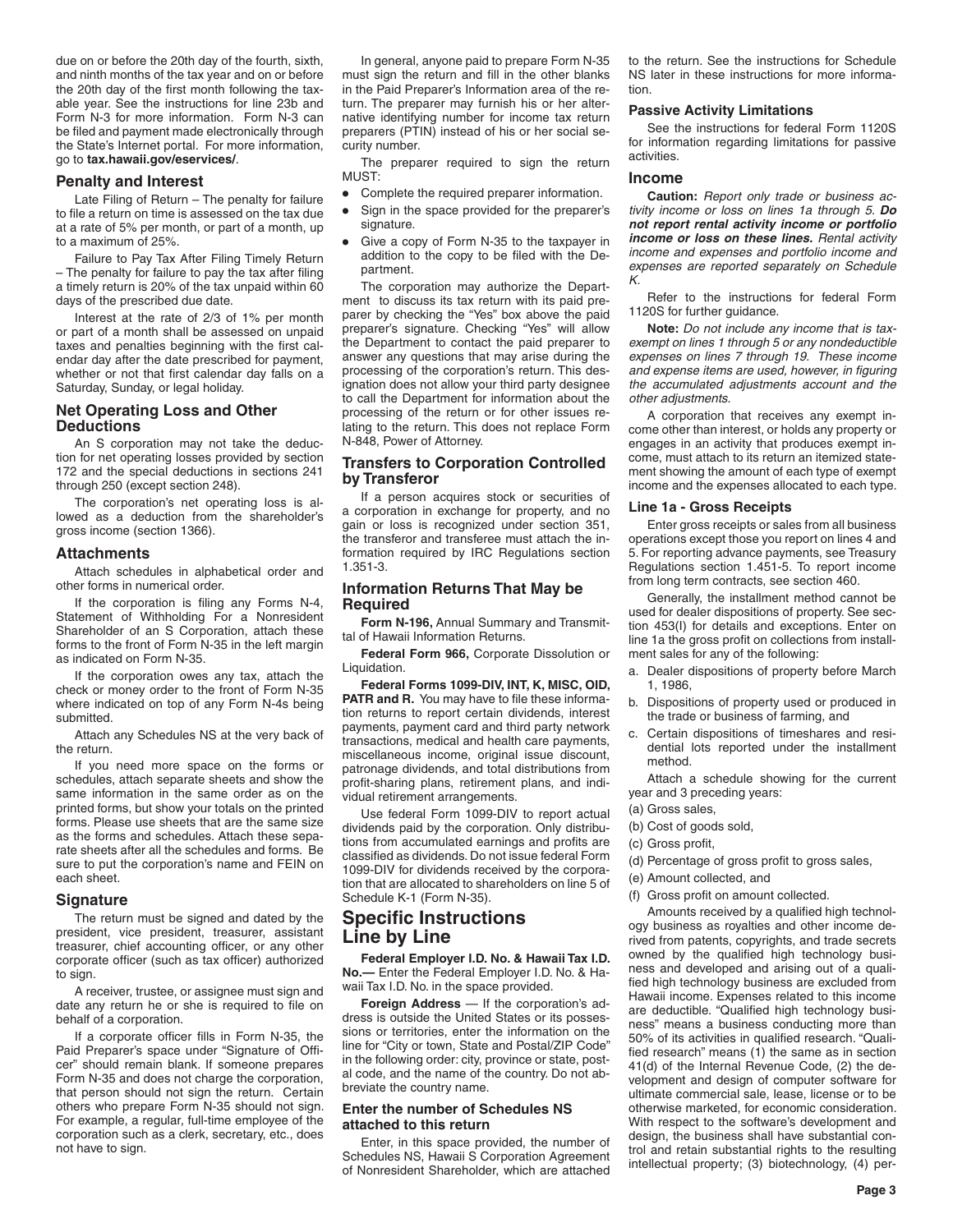due on or before the 20th day of the fourth, sixth, and ninth months of the tax year and on or before the 20th day of the first month following the taxable year. See the instructions for line 23b and Form N-3 for more information. Form N-3 can be filed and payment made electronically through the State's Internet portal. For more information, go to **tax.hawaii.gov/eservices/**.

## **Penalty and Interest**

Late Filing of Return – The penalty for failure to file a return on time is assessed on the tax due at a rate of 5% per month, or part of a month, up to a maximum of 25%.

Failure to Pay Tax After Filing Timely Return – The penalty for failure to pay the tax after filing a timely return is 20% of the tax unpaid within 60 days of the prescribed due date.

Interest at the rate of 2/3 of 1% per month or part of a month shall be assessed on unpaid taxes and penalties beginning with the first calendar day after the date prescribed for payment, whether or not that first calendar day falls on a Saturday, Sunday, or legal holiday.

# **Net Operating Loss and Other Deductions**

An S corporation may not take the deduction for net operating losses provided by section 172 and the special deductions in sections 241 through 250 (except section 248).

The corporation's net operating loss is allowed as a deduction from the shareholder's gross income (section 1366).

# **Attachments**

Attach schedules in alphabetical order and other forms in numerical order.

If the corporation is filing any Forms N-4, Statement of Withholding For a Nonresident Shareholder of an S Corporation, attach these forms to the front of Form N-35 in the left margin as indicated on Form N-35.

If the corporation owes any tax, attach the check or money order to the front of Form N-35 where indicated on top of any Form N-4s being submitted.

Attach any Schedules NS at the very back of the return.

If you need more space on the forms or schedules, attach separate sheets and show the same information in the same order as on the printed forms, but show your totals on the printed forms. Please use sheets that are the same size as the forms and schedules. Attach these separate sheets after all the schedules and forms. Be sure to put the corporation's name and FEIN on each sheet.

#### **Signature**

The return must be signed and dated by the president, vice president, treasurer, assistant treasurer, chief accounting officer, or any other corporate officer (such as tax officer) authorized to sign.

A receiver, trustee, or assignee must sign and date any return he or she is required to file on behalf of a corporation.

If a corporate officer fills in Form N-35, the Paid Preparer's space under "Signature of Officer" should remain blank. If someone prepares Form N-35 and does not charge the corporation, that person should not sign the return. Certain others who prepare Form N-35 should not sign. For example, a regular, full-time employee of the corporation such as a clerk, secretary, etc., does not have to sign.

In general, anyone paid to prepare Form N-35 must sign the return and fill in the other blanks in the Paid Preparer's Information area of the return. The preparer may furnish his or her alternative identifying number for income tax return preparers (PTIN) instead of his or her social security number.

The preparer required to sign the return MUST:

- Complete the required preparer information.<br>• Sign in the space provided for the preparer'
- Sign in the space provided for the preparer's signature.
- Give a copy of Form N-35 to the taxpayer in addition to the copy to be filed with the Department.

The corporation may authorize the Department to discuss its tax return with its paid preparer by checking the "Yes" box above the paid preparer's signature. Checking "Yes" will allow the Department to contact the paid preparer to answer any questions that may arise during the processing of the corporation's return. This designation does not allow your third party designee to call the Department for information about the processing of the return or for other issues relating to the return. This does not replace Form N-848, Power of Attorney.

# **Transfers to Corporation Controlled by Transferor**

If a person acquires stock or securities of a corporation in exchange for property, and no gain or loss is recognized under section 351, the transferor and transferee must attach the information required by IRC Regulations section 1.351-3.

# **Information Returns That May be Required**

**Form N-196,** Annual Summary and Transmittal of Hawaii Information Returns.

**Federal Form 966,** Corporate Dissolution or Liquidation.

**Federal Forms 1099-DIV, INT, K, MISC, OID, PATR and R.** You may have to file these information returns to report certain dividends, interest payments, payment card and third party network transactions, medical and health care payments, miscellaneous income, original issue discount, patronage dividends, and total distributions from profit-sharing plans, retirement plans, and individual retirement arrangements.

Use federal Form 1099-DIV to report actual dividends paid by the corporation. Only distributions from accumulated earnings and profits are classified as dividends. Do not issue federal Form 1099-DIV for dividends received by the corporation that are allocated to shareholders on line 5 of Schedule K-1 (Form N-35).

# **Specific Instructions Line by Line**

**Federal Employer I.D. No. & Hawaii Tax I.D. No.—** Enter the Federal Employer I.D. No. & Hawaii Tax I.D. No. in the space provided.

**Foreign Address** — If the corporation's address is outside the United States or its possessions or territories, enter the information on the line for "City or town, State and Postal/ZIP Code" in the following order: city, province or state, postal code, and the name of the country. Do not abbreviate the country name.

# **Enter the number of Schedules NS attached to this return**

Enter, in this space provided, the number of Schedules NS, Hawaii S Corporation Agreement of Nonresident Shareholder, which are attached to the return. See the instructions for Schedule NS later in these instructions for more information.

# **Passive Activity Limitations**

See the instructions for federal Form 1120S for information regarding limitations for passive activities.

## **Income**

**Caution:** *Report only trade or business activity income or loss on lines 1a through 5. Do not report rental activity income or portfolio income or loss on these lines. Rental activity income and expenses and portfolio income and expenses are reported separately on Schedule K.*

Refer to the instructions for federal Form 1120S for further guidance.

**Note:** *Do not include any income that is taxexempt on lines 1 through 5 or any nondeductible expenses on lines 7 through 19. These income and expense items are used, however, in figuring the accumulated adjustments account and the other adjustments.*

A corporation that receives any exempt income other than interest, or holds any property or engages in an activity that produces exempt income, must attach to its return an itemized statement showing the amount of each type of exempt income and the expenses allocated to each type.

#### **Line 1a - Gross Receipts**

Enter gross receipts or sales from all business operations except those you report on lines 4 and 5. For reporting advance payments, see Treasury Regulations section 1.451-5. To report income from long term contracts, see section 460.

Generally, the installment method cannot be used for dealer dispositions of property. See section 453(I) for details and exceptions. Enter on line 1a the gross profit on collections from installment sales for any of the following:

- a. Dealer dispositions of property before March 1, 1986,
- b. Dispositions of property used or produced in the trade or business of farming, and
- c. Certain dispositions of timeshares and residential lots reported under the installment method.

Attach a schedule showing for the current year and 3 preceding years:

- (a) Gross sales,
- (b) Cost of goods sold,
- (c) Gross profit,
- (d) Percentage of gross profit to gross sales,
- (e) Amount collected, and
- (f) Gross profit on amount collected.

Amounts received by a qualified high technology business as royalties and other income derived from patents, copyrights, and trade secrets owned by the qualified high technology business and developed and arising out of a qualified high technology business are excluded from Hawaii income. Expenses related to this income are deductible. "Qualified high technology business" means a business conducting more than 50% of its activities in qualified research. "Qualified research" means (1) the same as in section 41(d) of the Internal Revenue Code, (2) the development and design of computer software for ultimate commercial sale, lease, license or to be otherwise marketed, for economic consideration. With respect to the software's development and design, the business shall have substantial control and retain substantial rights to the resulting intellectual property; (3) biotechnology, (4) per-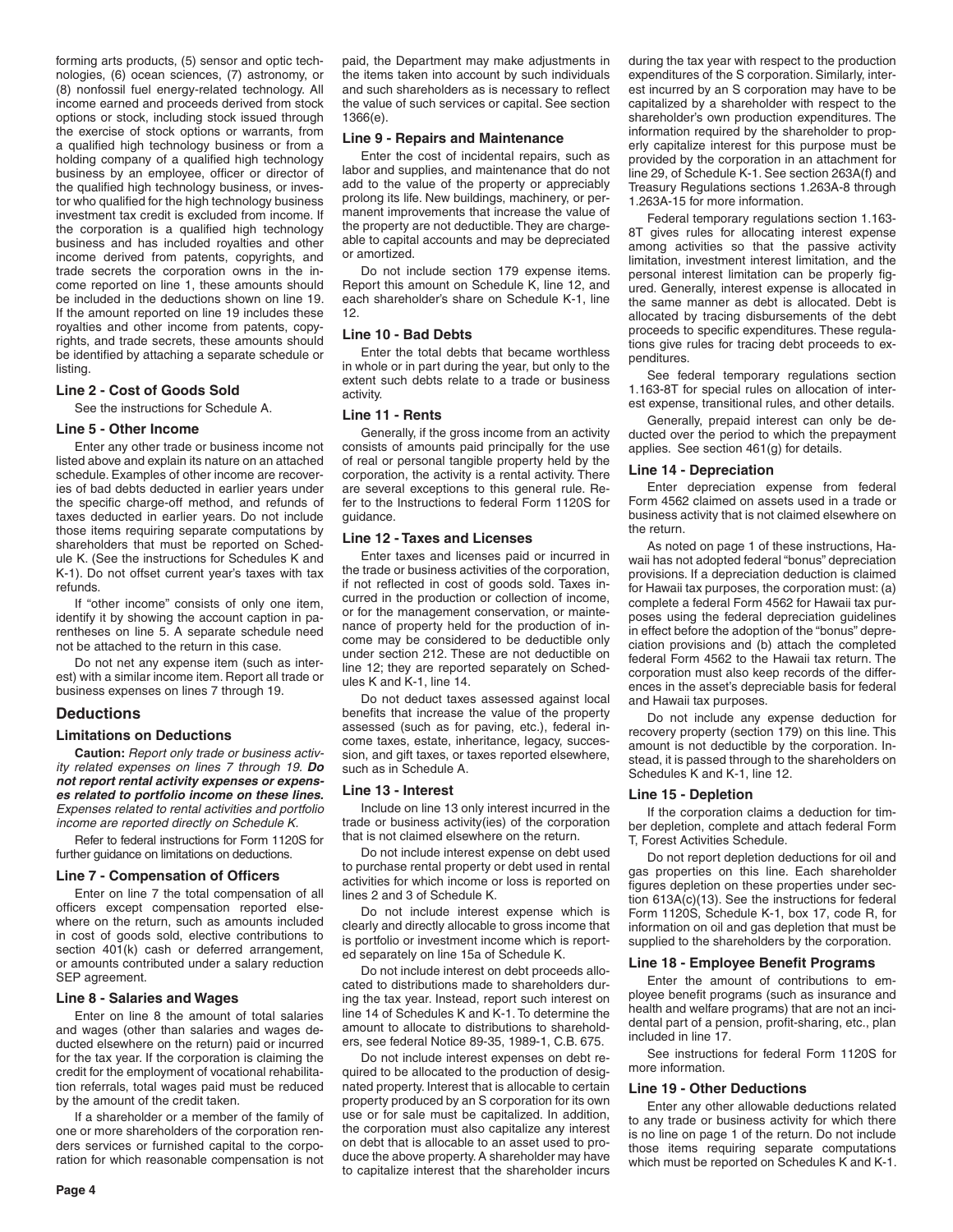forming arts products, (5) sensor and optic technologies, (6) ocean sciences, (7) astronomy, or (8) nonfossil fuel energy-related technology. All income earned and proceeds derived from stock options or stock, including stock issued through the exercise of stock options or warrants, from a qualified high technology business or from a holding company of a qualified high technology business by an employee, officer or director of the qualified high technology business, or investor who qualified for the high technology business investment tax credit is excluded from income. If the corporation is a qualified high technology business and has included royalties and other income derived from patents, copyrights, and trade secrets the corporation owns in the income reported on line 1, these amounts should be included in the deductions shown on line 19. If the amount reported on line 19 includes these royalties and other income from patents, copyrights, and trade secrets, these amounts should be identified by attaching a separate schedule or listing.

#### **Line 2 - Cost of Goods Sold**

See the instructions for Schedule A.

# **Line 5 - Other Income**

Enter any other trade or business income not listed above and explain its nature on an attached schedule. Examples of other income are recoveries of bad debts deducted in earlier years under the specific charge-off method, and refunds of taxes deducted in earlier years. Do not include those items requiring separate computations by shareholders that must be reported on Schedule K. (See the instructions for Schedules K and K-1). Do not offset current year's taxes with tax refunds.

If "other income" consists of only one item, identify it by showing the account caption in parentheses on line 5. A separate schedule need not be attached to the return in this case.

Do not net any expense item (such as interest) with a similar income item. Report all trade or business expenses on lines 7 through 19.

#### **Deductions**

# **Limitations on Deductions**

**Caution:** *Report only trade or business activity related expenses on lines 7 through 19. Do not report rental activity expenses or expenses related to portfolio income on these lines. Expenses related to rental activities and portfolio income are reported directly on Schedule K.*

Refer to federal instructions for Form 1120S for further guidance on limitations on deductions.

#### **Line 7 - Compensation of Officers**

Enter on line 7 the total compensation of all officers except compensation reported elsewhere on the return, such as amounts included in cost of goods sold, elective contributions to section 401(k) cash or deferred arrangement, or amounts contributed under a salary reduction SEP agreement.

# **Line 8 - Salaries and Wages**

Enter on line 8 the amount of total salaries and wages (other than salaries and wages deducted elsewhere on the return) paid or incurred for the tax year. If the corporation is claiming the credit for the employment of vocational rehabilitation referrals, total wages paid must be reduced by the amount of the credit taken.

If a shareholder or a member of the family of one or more shareholders of the corporation renders services or furnished capital to the corporation for which reasonable compensation is not paid, the Department may make adjustments in the items taken into account by such individuals and such shareholders as is necessary to reflect the value of such services or capital. See section 1366(e).

#### **Line 9 - Repairs and Maintenance**

Enter the cost of incidental repairs, such as labor and supplies, and maintenance that do not add to the value of the property or appreciably prolong its life. New buildings, machinery, or permanent improvements that increase the value of the property are not deductible. They are chargeable to capital accounts and may be depreciated or amortized.

Do not include section 179 expense items. Report this amount on Schedule K, line 12, and each shareholder's share on Schedule K-1, line 12.

#### **Line 10 - Bad Debts**

Enter the total debts that became worthless in whole or in part during the year, but only to the extent such debts relate to a trade or business activity.

#### **Line 11 - Rents**

Generally, if the gross income from an activity consists of amounts paid principally for the use of real or personal tangible property held by the corporation, the activity is a rental activity. There are several exceptions to this general rule. Refer to the Instructions to federal Form 1120S for guidance.

# **Line 12 - Taxes and Licenses**

Enter taxes and licenses paid or incurred in the trade or business activities of the corporation, if not reflected in cost of goods sold. Taxes incurred in the production or collection of income, or for the management conservation, or maintenance of property held for the production of income may be considered to be deductible only under section 212. These are not deductible on line 12; they are reported separately on Schedules K and K-1, line 14.

Do not deduct taxes assessed against local benefits that increase the value of the property assessed (such as for paving, etc.), federal income taxes, estate, inheritance, legacy, succession, and gift taxes, or taxes reported elsewhere, such as in Schedule A.

#### **Line 13 - Interest**

Include on line 13 only interest incurred in the trade or business activity(ies) of the corporation that is not claimed elsewhere on the return.

Do not include interest expense on debt used to purchase rental property or debt used in rental activities for which income or loss is reported on lines 2 and 3 of Schedule K.

Do not include interest expense which is clearly and directly allocable to gross income that is portfolio or investment income which is reported separately on line 15a of Schedule K.

Do not include interest on debt proceeds allocated to distributions made to shareholders during the tax year. Instead, report such interest on line 14 of Schedules K and K-1. To determine the amount to allocate to distributions to shareholders, see federal Notice 89-35, 1989-1, C.B. 675.

Do not include interest expenses on debt required to be allocated to the production of designated property. Interest that is allocable to certain property produced by an S corporation for its own use or for sale must be capitalized. In addition, the corporation must also capitalize any interest on debt that is allocable to an asset used to produce the above property. A shareholder may have to capitalize interest that the shareholder incurs during the tax year with respect to the production expenditures of the S corporation. Similarly, interest incurred by an S corporation may have to be capitalized by a shareholder with respect to the shareholder's own production expenditures. The information required by the shareholder to properly capitalize interest for this purpose must be provided by the corporation in an attachment for line 29, of Schedule K-1. See section 263A(f) and Treasury Regulations sections 1.263A-8 through 1.263A-15 for more information.

Federal temporary regulations section 1.163- 8T gives rules for allocating interest expense among activities so that the passive activity limitation, investment interest limitation, and the personal interest limitation can be properly figured. Generally, interest expense is allocated in the same manner as debt is allocated. Debt is allocated by tracing disbursements of the debt proceeds to specific expenditures. These regulations give rules for tracing debt proceeds to expenditures.

See federal temporary regulations section 1.163-8T for special rules on allocation of interest expense, transitional rules, and other details.

Generally, prepaid interest can only be deducted over the period to which the prepayment applies. See section 461(g) for details.

#### **Line 14 - Depreciation**

Enter depreciation expense from federal Form 4562 claimed on assets used in a trade or business activity that is not claimed elsewhere on the return.

As noted on page 1 of these instructions, Hawaii has not adopted federal "bonus" depreciation provisions. If a depreciation deduction is claimed for Hawaii tax purposes, the corporation must: (a) complete a federal Form 4562 for Hawaii tax purposes using the federal depreciation guidelines in effect before the adoption of the "bonus" depreciation provisions and (b) attach the completed federal Form 4562 to the Hawaii tax return. The corporation must also keep records of the differences in the asset's depreciable basis for federal and Hawaii tax purposes.

Do not include any expense deduction for recovery property (section 179) on this line. This amount is not deductible by the corporation. Instead, it is passed through to the shareholders on Schedules K and K-1, line 12.

#### **Line 15 - Depletion**

If the corporation claims a deduction for timber depletion, complete and attach federal Form T, Forest Activities Schedule.

Do not report depletion deductions for oil and gas properties on this line. Each shareholder figures depletion on these properties under section 613A(c)(13). See the instructions for federal Form 1120S, Schedule K-1, box 17, code R, for information on oil and gas depletion that must be supplied to the shareholders by the corporation.

#### **Line 18 - Employee Benefit Programs**

Enter the amount of contributions to employee benefit programs (such as insurance and health and welfare programs) that are not an incidental part of a pension, profit-sharing, etc., plan included in line 17.

See instructions for federal Form 1120S for more information.

#### **Line 19 - Other Deductions**

Enter any other allowable deductions related to any trade or business activity for which there is no line on page 1 of the return. Do not include those items requiring separate computations which must be reported on Schedules K and K-1.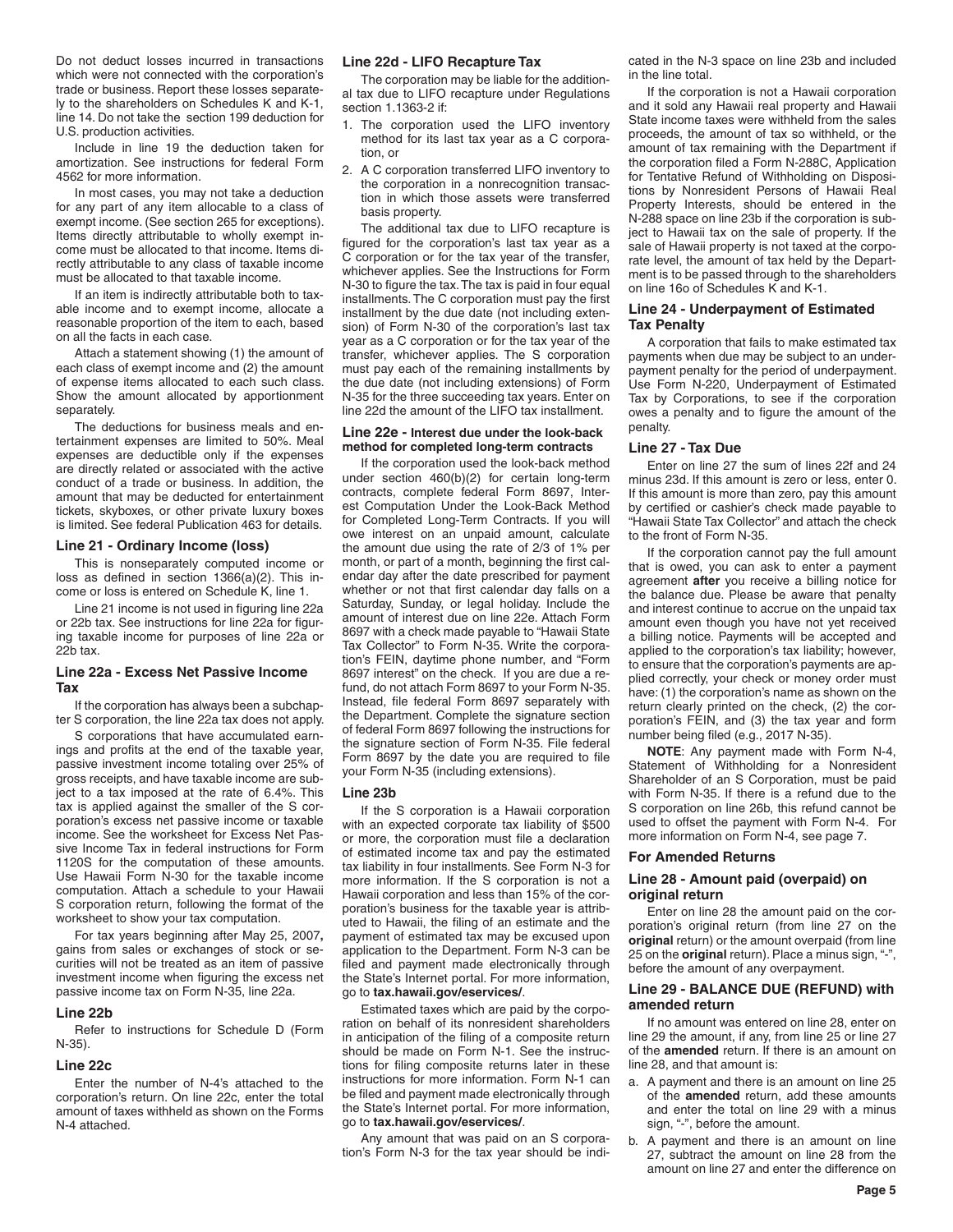Do not deduct losses incurred in transactions which were not connected with the corporation's trade or business. Report these losses separately to the shareholders on Schedules K and K-1, line 14. Do not take the section 199 deduction for U.S. production activities.

Include in line 19 the deduction taken for amortization. See instructions for federal Form 4562 for more information.

In most cases, you may not take a deduction for any part of any item allocable to a class of exempt income. (See section 265 for exceptions). Items directly attributable to wholly exempt income must be allocated to that income. Items directly attributable to any class of taxable income must be allocated to that taxable income.

If an item is indirectly attributable both to taxable income and to exempt income, allocate a reasonable proportion of the item to each, based on all the facts in each case.

Attach a statement showing (1) the amount of each class of exempt income and (2) the amount of expense items allocated to each such class. Show the amount allocated by apportionment separately.

The deductions for business meals and entertainment expenses are limited to 50%. Meal expenses are deductible only if the expenses are directly related or associated with the active conduct of a trade or business. In addition, the amount that may be deducted for entertainment tickets, skyboxes, or other private luxury boxes is limited. See federal Publication 463 for details.

# **Line 21 - Ordinary Income (loss)**

This is nonseparately computed income or loss as defined in section 1366(a)(2). This income or loss is entered on Schedule K, line 1.

Line 21 income is not used in figuring line 22a or 22b tax. See instructions for line 22a for figuring taxable income for purposes of line 22a or 22b tax.

#### **Line 22a - Excess Net Passive Income Tax**

If the corporation has always been a subchapter S corporation, the line 22a tax does not apply.

S corporations that have accumulated earnings and profits at the end of the taxable year, passive investment income totaling over 25% of gross receipts, and have taxable income are subject to a tax imposed at the rate of 6.4%. This tax is applied against the smaller of the S corporation's excess net passive income or taxable income. See the worksheet for Excess Net Passive Income Tax in federal instructions for Form 1120S for the computation of these amounts. Use Hawaii Form N-30 for the taxable income computation. Attach a schedule to your Hawaii S corporation return, following the format of the worksheet to show your tax computation.

For tax years beginning after May 25, 2007**,** gains from sales or exchanges of stock or securities will not be treated as an item of passive investment income when figuring the excess net passive income tax on Form N-35, line 22a.

# **Line 22b**

Refer to instructions for Schedule D (Form N-35).

#### **Line 22c**

Enter the number of N-4's attached to the corporation's return. On line 22c, enter the total amount of taxes withheld as shown on the Forms N-4 attached.

# **Line 22d - LIFO Recapture Tax**

The corporation may be liable for the additional tax due to LIFO recapture under Regulations section 1.1363-2 if:

- 1. The corporation used the LIFO inventory method for its last tax year as a C corporation, or
- 2. A C corporation transferred LIFO inventory to the corporation in a nonrecognition transaction in which those assets were transferred basis property.

The additional tax due to LIFO recapture is figured for the corporation's last tax year as a C corporation or for the tax year of the transfer, whichever applies. See the Instructions for Form N-30 to figure the tax. The tax is paid in four equal installments. The C corporation must pay the first installment by the due date (not including extension) of Form N-30 of the corporation's last tax year as a C corporation or for the tax year of the transfer, whichever applies. The S corporation must pay each of the remaining installments by the due date (not including extensions) of Form N-35 for the three succeeding tax years. Enter on line 22d the amount of the LIFO tax installment.

#### **Line 22e - Interest due under the look-back method for completed long-term contracts**

If the corporation used the look-back method under section 460(b)(2) for certain long-term contracts, complete federal Form 8697, Interest Computation Under the Look-Back Method for Completed Long-Term Contracts. If you will owe interest on an unpaid amount, calculate the amount due using the rate of 2/3 of 1% per month, or part of a month, beginning the first calendar day after the date prescribed for payment whether or not that first calendar day falls on a Saturday, Sunday, or legal holiday. Include the amount of interest due on line 22e. Attach Form 8697 with a check made payable to "Hawaii State Tax Collector" to Form N-35. Write the corporation's FEIN, daytime phone number, and "Form 8697 interest" on the check. If you are due a refund, do not attach Form 8697 to your Form N-35. Instead, file federal Form 8697 separately with the Department. Complete the signature section of federal Form 8697 following the instructions for the signature section of Form N-35. File federal Form 8697 by the date you are required to file your Form N-35 (including extensions).

## **Line 23b**

If the S corporation is a Hawaii corporation with an expected corporate tax liability of \$500 or more, the corporation must file a declaration of estimated income tax and pay the estimated tax liability in four installments. See Form N-3 for more information. If the S corporation is not a Hawaii corporation and less than 15% of the corporation's business for the taxable year is attributed to Hawaii, the filing of an estimate and the payment of estimated tax may be excused upon application to the Department. Form N-3 can be filed and payment made electronically through the State's Internet portal. For more information, go to **tax.hawaii.gov/eservices/**.

Estimated taxes which are paid by the corporation on behalf of its nonresident shareholders in anticipation of the filing of a composite return should be made on Form N-1. See the instructions for filing composite returns later in these instructions for more information. Form N-1 can be filed and payment made electronically through the State's Internet portal. For more information, go to **tax.hawaii.gov/eservices/**.

Any amount that was paid on an S corporation's Form N-3 for the tax year should be indicated in the N-3 space on line 23b and included in the line total.

If the corporation is not a Hawaii corporation and it sold any Hawaii real property and Hawaii State income taxes were withheld from the sales proceeds, the amount of tax so withheld, or the amount of tax remaining with the Department if the corporation filed a Form N-288C, Application for Tentative Refund of Withholding on Dispositions by Nonresident Persons of Hawaii Real Property Interests, should be entered in the N-288 space on line 23b if the corporation is subject to Hawaii tax on the sale of property. If the sale of Hawaii property is not taxed at the corporate level, the amount of tax held by the Department is to be passed through to the shareholders on line 16o of Schedules K and K-1.

#### **Line 24 - Underpayment of Estimated Tax Penalty**

A corporation that fails to make estimated tax payments when due may be subject to an underpayment penalty for the period of underpayment. Use Form N-220, Underpayment of Estimated Tax by Corporations, to see if the corporation owes a penalty and to figure the amount of the penalty.

#### **Line 27 - Tax Due**

Enter on line 27 the sum of lines 22f and 24 minus 23d. If this amount is zero or less, enter 0. If this amount is more than zero, pay this amount by certified or cashier's check made payable to "Hawaii State Tax Collector" and attach the check to the front of Form N-35.

If the corporation cannot pay the full amount that is owed, you can ask to enter a payment agreement **after** you receive a billing notice for the balance due. Please be aware that penalty and interest continue to accrue on the unpaid tax amount even though you have not yet received a billing notice. Payments will be accepted and applied to the corporation's tax liability; however, to ensure that the corporation's payments are applied correctly, your check or money order must have: (1) the corporation's name as shown on the return clearly printed on the check, (2) the corporation's FEIN, and (3) the tax year and form number being filed (e.g., 2017 N-35).

**NOTE**: Any payment made with Form N-4, Statement of Withholding for a Nonresident Shareholder of an S Corporation, must be paid with Form N-35. If there is a refund due to the S corporation on line 26b, this refund cannot be used to offset the payment with Form N-4. For more information on Form N-4, see page 7.

#### **For Amended Returns**

# **Line 28 - Amount paid (overpaid) on original return**

Enter on line 28 the amount paid on the corporation's original return (from line 27 on the **original** return) or the amount overpaid (from line 25 on the **original** return). Place a minus sign, "-", before the amount of any overpayment.

## **Line 29 - BALANCE DUE (REFUND) with amended return**

If no amount was entered on line 28, enter on line 29 the amount, if any, from line 25 or line 27 of the **amended** return. If there is an amount on line 28, and that amount is:

- a. A payment and there is an amount on line 25 of the **amended** return, add these amounts and enter the total on line 29 with a minus sign, "-", before the amount.
- b. A payment and there is an amount on line 27, subtract the amount on line 28 from the amount on line 27 and enter the difference on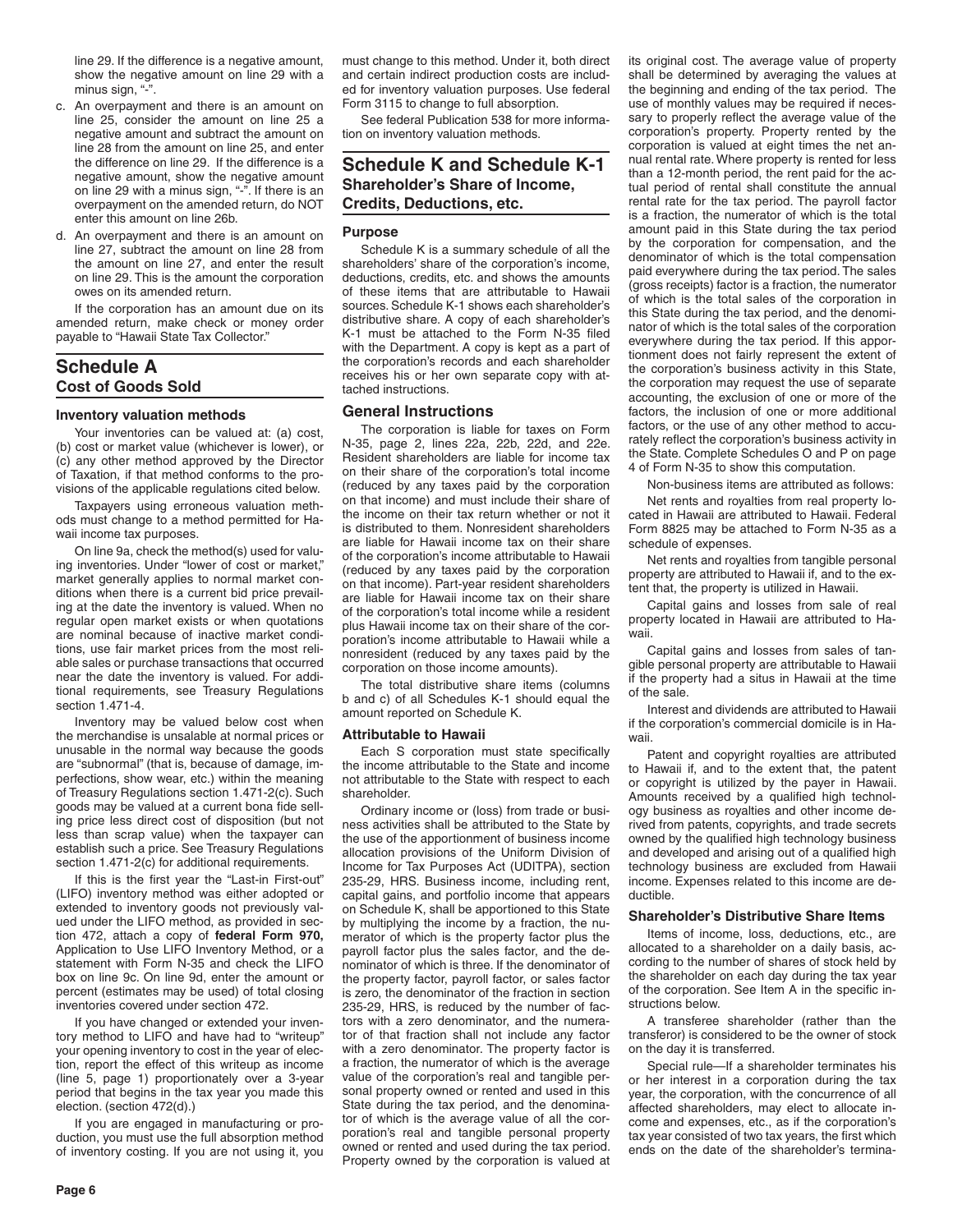line 29. If the difference is a negative amount, show the negative amount on line 29 with a minus sign, "-".

- c. An overpayment and there is an amount on line 25, consider the amount on line 25 a negative amount and subtract the amount on line 28 from the amount on line 25, and enter the difference on line 29. If the difference is a negative amount, show the negative amount on line 29 with a minus sign, "-". If there is an overpayment on the amended return, do NOT enter this amount on line 26b.
- d. An overpayment and there is an amount on line 27, subtract the amount on line 28 from the amount on line 27, and enter the result on line 29. This is the amount the corporation owes on its amended return.

If the corporation has an amount due on its amended return, make check or money order payable to "Hawaii State Tax Collector."

# **Schedule A Cost of Goods Sold**

#### **Inventory valuation methods**

Your inventories can be valued at: (a) cost, (b) cost or market value (whichever is lower), or (c) any other method approved by the Director of Taxation, if that method conforms to the provisions of the applicable regulations cited below.

Taxpayers using erroneous valuation methods must change to a method permitted for Hawaii income tax purposes.

On line 9a, check the method(s) used for valuing inventories. Under "lower of cost or market," market generally applies to normal market conditions when there is a current bid price prevailing at the date the inventory is valued. When no regular open market exists or when quotations are nominal because of inactive market conditions, use fair market prices from the most reliable sales or purchase transactions that occurred near the date the inventory is valued. For additional requirements, see Treasury Regulations section 1.471-4.

Inventory may be valued below cost when the merchandise is unsalable at normal prices or unusable in the normal way because the goods are "subnormal" (that is, because of damage, imperfections, show wear, etc.) within the meaning of Treasury Regulations section 1.471-2(c). Such goods may be valued at a current bona fide selling price less direct cost of disposition (but not less than scrap value) when the taxpayer can establish such a price. See Treasury Regulations section 1.471-2(c) for additional requirements.

If this is the first year the "Last-in First-out" (LIFO) inventory method was either adopted or extended to inventory goods not previously valued under the LIFO method, as provided in section 472, attach a copy of **federal Form 970,** Application to Use LIFO Inventory Method, or a statement with Form N-35 and check the LIFO box on line 9c. On line 9d, enter the amount or percent (estimates may be used) of total closing inventories covered under section 472.

If you have changed or extended your inventory method to LIFO and have had to "writeup" your opening inventory to cost in the year of election, report the effect of this writeup as income (line 5, page 1) proportionately over a 3-year period that begins in the tax year you made this election. (section 472(d).)

If you are engaged in manufacturing or production, you must use the full absorption method of inventory costing. If you are not using it, you

must change to this method. Under it, both direct and certain indirect production costs are included for inventory valuation purposes. Use federal Form 3115 to change to full absorption.

See federal Publication 538 for more information on inventory valuation methods.

# **Schedule K and Schedule K-1 Shareholder's Share of Income, Credits, Deductions, etc.**

# **Purpose**

Schedule K is a summary schedule of all the shareholders' share of the corporation's income, deductions, credits, etc. and shows the amounts of these items that are attributable to Hawaii sources. Schedule K-1 shows each shareholder's distributive share. A copy of each shareholder's K-1 must be attached to the Form N-35 filed with the Department. A copy is kept as a part of the corporation's records and each shareholder receives his or her own separate copy with attached instructions.

# **General Instructions**

The corporation is liable for taxes on Form N-35, page 2, lines 22a, 22b, 22d, and 22e. Resident shareholders are liable for income tax on their share of the corporation's total income (reduced by any taxes paid by the corporation on that income) and must include their share of the income on their tax return whether or not it is distributed to them. Nonresident shareholders are liable for Hawaii income tax on their share of the corporation's income attributable to Hawaii (reduced by any taxes paid by the corporation on that income). Part-year resident shareholders are liable for Hawaii income tax on their share of the corporation's total income while a resident plus Hawaii income tax on their share of the corporation's income attributable to Hawaii while a nonresident (reduced by any taxes paid by the corporation on those income amounts).

The total distributive share items (columns b and c) of all Schedules K-1 should equal the amount reported on Schedule K.

#### **Attributable to Hawaii**

Each S corporation must state specifically the income attributable to the State and income not attributable to the State with respect to each shareholder.

Ordinary income or (loss) from trade or business activities shall be attributed to the State by the use of the apportionment of business income allocation provisions of the Uniform Division of Income for Tax Purposes Act (UDITPA), section 235-29, HRS. Business income, including rent, capital gains, and portfolio income that appears on Schedule K, shall be apportioned to this State by multiplying the income by a fraction, the numerator of which is the property factor plus the payroll factor plus the sales factor, and the denominator of which is three. If the denominator of the property factor, payroll factor, or sales factor is zero, the denominator of the fraction in section 235-29, HRS, is reduced by the number of factors with a zero denominator, and the numerator of that fraction shall not include any factor with a zero denominator. The property factor is a fraction, the numerator of which is the average value of the corporation's real and tangible personal property owned or rented and used in this State during the tax period, and the denominator of which is the average value of all the corporation's real and tangible personal property owned or rented and used during the tax period. Property owned by the corporation is valued at its original cost. The average value of property shall be determined by averaging the values at the beginning and ending of the tax period. The use of monthly values may be required if necessary to properly reflect the average value of the corporation's property. Property rented by the corporation is valued at eight times the net annual rental rate. Where property is rented for less than a 12-month period, the rent paid for the actual period of rental shall constitute the annual rental rate for the tax period. The payroll factor is a fraction, the numerator of which is the total amount paid in this State during the tax period by the corporation for compensation, and the denominator of which is the total compensation paid everywhere during the tax period. The sales (gross receipts) factor is a fraction, the numerator of which is the total sales of the corporation in this State during the tax period, and the denominator of which is the total sales of the corporation everywhere during the tax period. If this apportionment does not fairly represent the extent of the corporation's business activity in this State, the corporation may request the use of separate accounting, the exclusion of one or more of the factors, the inclusion of one or more additional factors, or the use of any other method to accurately reflect the corporation's business activity in the State. Complete Schedules O and P on page 4 of Form N-35 to show this computation.

Non-business items are attributed as follows:

Net rents and royalties from real property located in Hawaii are attributed to Hawaii. Federal Form 8825 may be attached to Form N-35 as a schedule of expenses.

Net rents and royalties from tangible personal property are attributed to Hawaii if, and to the extent that, the property is utilized in Hawaii.

Capital gains and losses from sale of real property located in Hawaii are attributed to Hawaii.

Capital gains and losses from sales of tangible personal property are attributable to Hawaii if the property had a situs in Hawaii at the time of the sale.

Interest and dividends are attributed to Hawaii if the corporation's commercial domicile is in Hawaii.

Patent and copyright royalties are attributed to Hawaii if, and to the extent that, the patent or copyright is utilized by the payer in Hawaii. Amounts received by a qualified high technology business as royalties and other income derived from patents, copyrights, and trade secrets owned by the qualified high technology business and developed and arising out of a qualified high technology business are excluded from Hawaii income. Expenses related to this income are deductible.

# **Shareholder's Distributive Share Items**

Items of income, loss, deductions, etc., are allocated to a shareholder on a daily basis, according to the number of shares of stock held by the shareholder on each day during the tax year of the corporation. See Item A in the specific instructions below.

A transferee shareholder (rather than the transferor) is considered to be the owner of stock on the day it is transferred.

Special rule—If a shareholder terminates his or her interest in a corporation during the tax year, the corporation, with the concurrence of all affected shareholders, may elect to allocate income and expenses, etc., as if the corporation's tax year consisted of two tax years, the first which ends on the date of the shareholder's termina-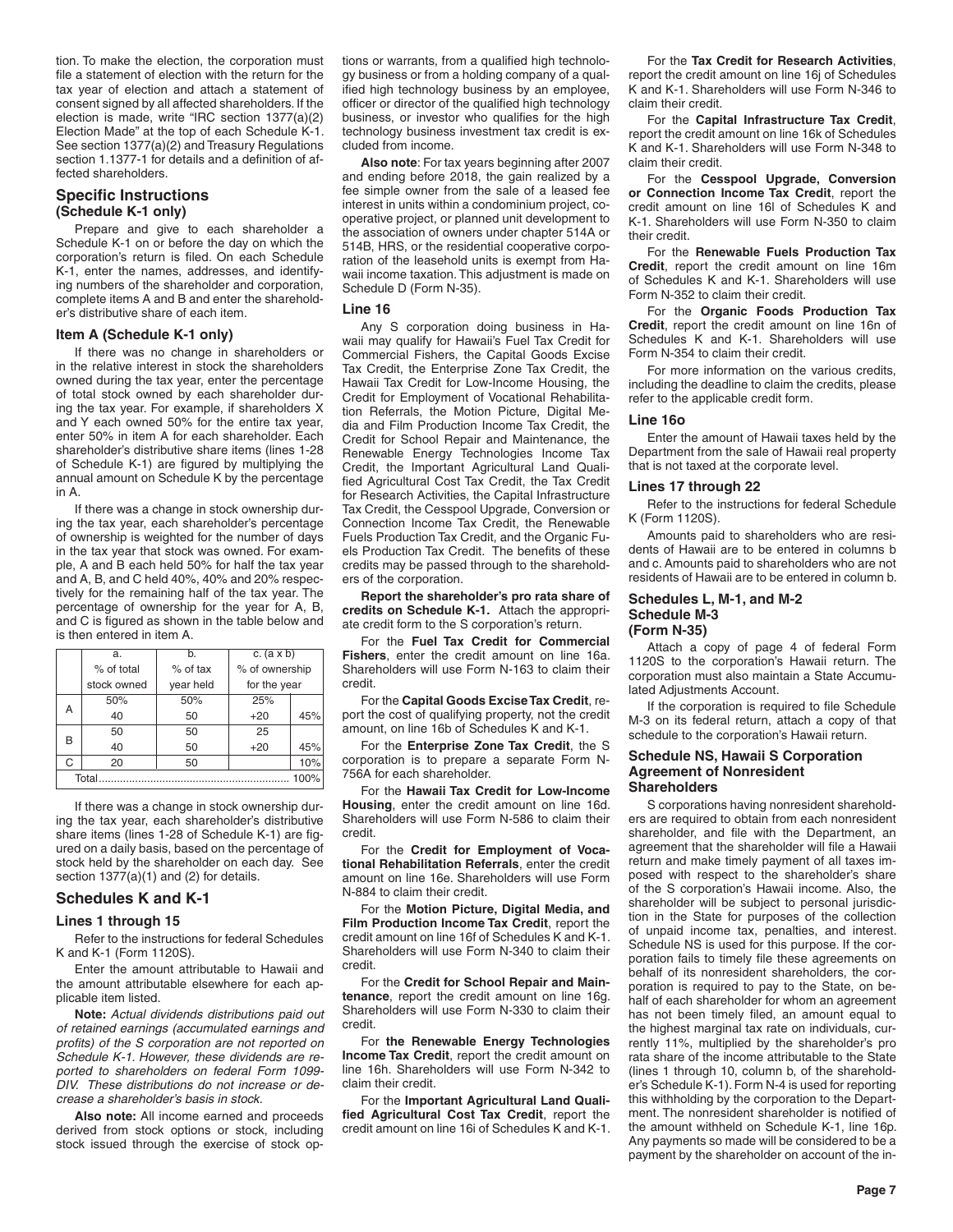tion. To make the election, the corporation must file a statement of election with the return for the tax year of election and attach a statement of consent signed by all affected shareholders. If the election is made, write "IRC section 1377(a)(2) Election Made" at the top of each Schedule K-1. See section 1377(a)(2) and Treasury Regulations section 1.1377-1 for details and a definition of affected shareholders.

# **Specific Instructions (Schedule K-1 only)**

Prepare and give to each shareholder a Schedule K-1 on or before the day on which the corporation's return is filed. On each Schedule K-1, enter the names, addresses, and identifying numbers of the shareholder and corporation, complete items A and B and enter the shareholder's distributive share of each item.

# **Item A (Schedule K-1 only)**

If there was no change in shareholders or in the relative interest in stock the shareholders owned during the tax year, enter the percentage of total stock owned by each shareholder during the tax year. For example, if shareholders X and Y each owned 50% for the entire tax year, enter 50% in item A for each shareholder. Each shareholder's distributive share items (lines 1-28 of Schedule K-1) are figured by multiplying the annual amount on Schedule K by the percentage in A.

If there was a change in stock ownership during the tax year, each shareholder's percentage of ownership is weighted for the number of days in the tax year that stock was owned. For example, A and B each held 50% for half the tax year and A, B, and C held 40%, 40% and 20% respectively for the remaining half of the tax year. The percentage of ownership for the year for A, B, and C is figured as shown in the table below and is then entered in item A.

|               | a.          | b.         | c. $(a \times b)$ |     |  |
|---------------|-------------|------------|-------------------|-----|--|
|               | % of total  | $%$ of tax | % of ownership    |     |  |
|               | stock owned | year held  | for the year      |     |  |
| А             | 50%         | 50%        | 25%               |     |  |
|               | 40          | 50         | $+20$             | 45% |  |
| В             | 50          | 50         | 25                |     |  |
|               | 40          | 50         | $+20$             | 45% |  |
| С             | 20          | 50         |                   | 10% |  |
| Total<br>100% |             |            |                   |     |  |

If there was a change in stock ownership during the tax year, each shareholder's distributive share items (lines 1-28 of Schedule K-1) are figured on a daily basis, based on the percentage of stock held by the shareholder on each day. See section 1377(a)(1) and (2) for details.

# **Schedules K and K-1**

#### **Lines 1 through 15**

Refer to the instructions for federal Schedules K and K-1 (Form 1120S).

Enter the amount attributable to Hawaii and the amount attributable elsewhere for each applicable item listed.

**Note:** *Actual dividends distributions paid out of retained earnings (accumulated earnings and profits) of the S corporation are not reported on Schedule K-1. However, these dividends are reported to shareholders on federal Form 1099- DIV. These distributions do not increase or decrease a shareholder's basis in stock.*

**Also note:** All income earned and proceeds derived from stock options or stock, including stock issued through the exercise of stock options or warrants, from a qualified high technology business or from a holding company of a qualified high technology business by an employee, officer or director of the qualified high technology business, or investor who qualifies for the high technology business investment tax credit is excluded from income.

**Also note**: For tax years beginning after 2007 and ending before 2018, the gain realized by a fee simple owner from the sale of a leased fee interest in units within a condominium project, cooperative project, or planned unit development to the association of owners under chapter 514A or 514B, HRS, or the residential cooperative corporation of the leasehold units is exempt from Hawaii income taxation. This adjustment is made on Schedule D (Form N-35).

#### **Line 16**

Any S corporation doing business in Hawaii may qualify for Hawaii's Fuel Tax Credit for Commercial Fishers, the Capital Goods Excise Tax Credit, the Enterprise Zone Tax Credit, the Hawaii Tax Credit for Low-Income Housing, the Credit for Employment of Vocational Rehabilitation Referrals, the Motion Picture, Digital Media and Film Production Income Tax Credit, the Credit for School Repair and Maintenance, the Renewable Energy Technologies Income Tax Credit, the Important Agricultural Land Qualified Agricultural Cost Tax Credit, the Tax Credit for Research Activities, the Capital Infrastructure Tax Credit, the Cesspool Upgrade, Conversion or Connection Income Tax Credit, the Renewable Fuels Production Tax Credit, and the Organic Fuels Production Tax Credit. The benefits of these credits may be passed through to the shareholders of the corporation.

**Report the shareholder's pro rata share of credits on Schedule K-1.** Attach the appropriate credit form to the S corporation's return.

For the **Fuel Tax Credit for Commercial Fishers**, enter the credit amount on line 16a. Shareholders will use Form N-163 to claim their credit.

For the **Capital Goods Excise Tax Credit**, report the cost of qualifying property, not the credit amount, on line 16b of Schedules K and K-1.

For the **Enterprise Zone Tax Credit**, the S corporation is to prepare a separate Form N-756A for each shareholder.

For the **Hawaii Tax Credit for Low-Income Housing**, enter the credit amount on line 16d. Shareholders will use Form N-586 to claim their credit.

For the **Credit for Employment of Vocational Rehabilitation Referrals**, enter the credit amount on line 16e. Shareholders will use Form N-884 to claim their credit.

For the **Motion Picture, Digital Media, and Film Production Income Tax Credit**, report the credit amount on line 16f of Schedules K and K-1. Shareholders will use Form N-340 to claim their credit.

For the **Credit for School Repair and Maintenance**, report the credit amount on line 16g. Shareholders will use Form N-330 to claim their credit.

For **the Renewable Energy Technologies Income Tax Credit**, report the credit amount on line 16h. Shareholders will use Form N-342 to claim their credit.

For the **Important Agricultural Land Qualified Agricultural Cost Tax Credit**, report the credit amount on line 16i of Schedules K and K-1.

For the **Tax Credit for Research Activities**, report the credit amount on line 16j of Schedules K and K-1. Shareholders will use Form N-346 to claim their credit.

For the **Capital Infrastructure Tax Credit**, report the credit amount on line 16k of Schedules K and K-1. Shareholders will use Form N-348 to claim their credit.

For the **Cesspool Upgrade, Conversion or Connection Income Tax Credit**, report the credit amount on line 16l of Schedules K and K-1. Shareholders will use Form N-350 to claim their credit.

For the **Renewable Fuels Production Tax Credit**, report the credit amount on line 16m of Schedules K and K-1. Shareholders will use Form N-352 to claim their credit.

For the **Organic Foods Production Tax Credit**, report the credit amount on line 16n of Schedules K and K-1. Shareholders will use Form N-354 to claim their credit.

For more information on the various credits, including the deadline to claim the credits, please refer to the applicable credit form.

## **Line 16o**

Enter the amount of Hawaii taxes held by the Department from the sale of Hawaii real property that is not taxed at the corporate level.

#### **Lines 17 through 22**

Refer to the instructions for federal Schedule K (Form 1120S).

Amounts paid to shareholders who are residents of Hawaii are to be entered in columns b and c. Amounts paid to shareholders who are not residents of Hawaii are to be entered in column b.

#### **Schedules L, M-1, and M-2 Schedule M-3 (Form N-35)**

Attach a copy of page 4 of federal Form 1120S to the corporation's Hawaii return. The corporation must also maintain a State Accumulated Adjustments Account.

If the corporation is required to file Schedule M-3 on its federal return, attach a copy of that schedule to the corporation's Hawaii return.

## **Schedule NS, Hawaii S Corporation Agreement of Nonresident Shareholders**

S corporations having nonresident shareholders are required to obtain from each nonresident shareholder, and file with the Department, an agreement that the shareholder will file a Hawaii return and make timely payment of all taxes imposed with respect to the shareholder's share of the S corporation's Hawaii income. Also, the shareholder will be subject to personal jurisdiction in the State for purposes of the collection of unpaid income tax, penalties, and interest. Schedule NS is used for this purpose. If the corporation fails to timely file these agreements on behalf of its nonresident shareholders, the corporation is required to pay to the State, on behalf of each shareholder for whom an agreement has not been timely filed, an amount equal to the highest marginal tax rate on individuals, currently 11%, multiplied by the shareholder's pro rata share of the income attributable to the State (lines 1 through 10, column b, of the shareholder's Schedule K-1). Form N-4 is used for reporting this withholding by the corporation to the Department. The nonresident shareholder is notified of the amount withheld on Schedule K-1, line 16p. Any payments so made will be considered to be a payment by the shareholder on account of the in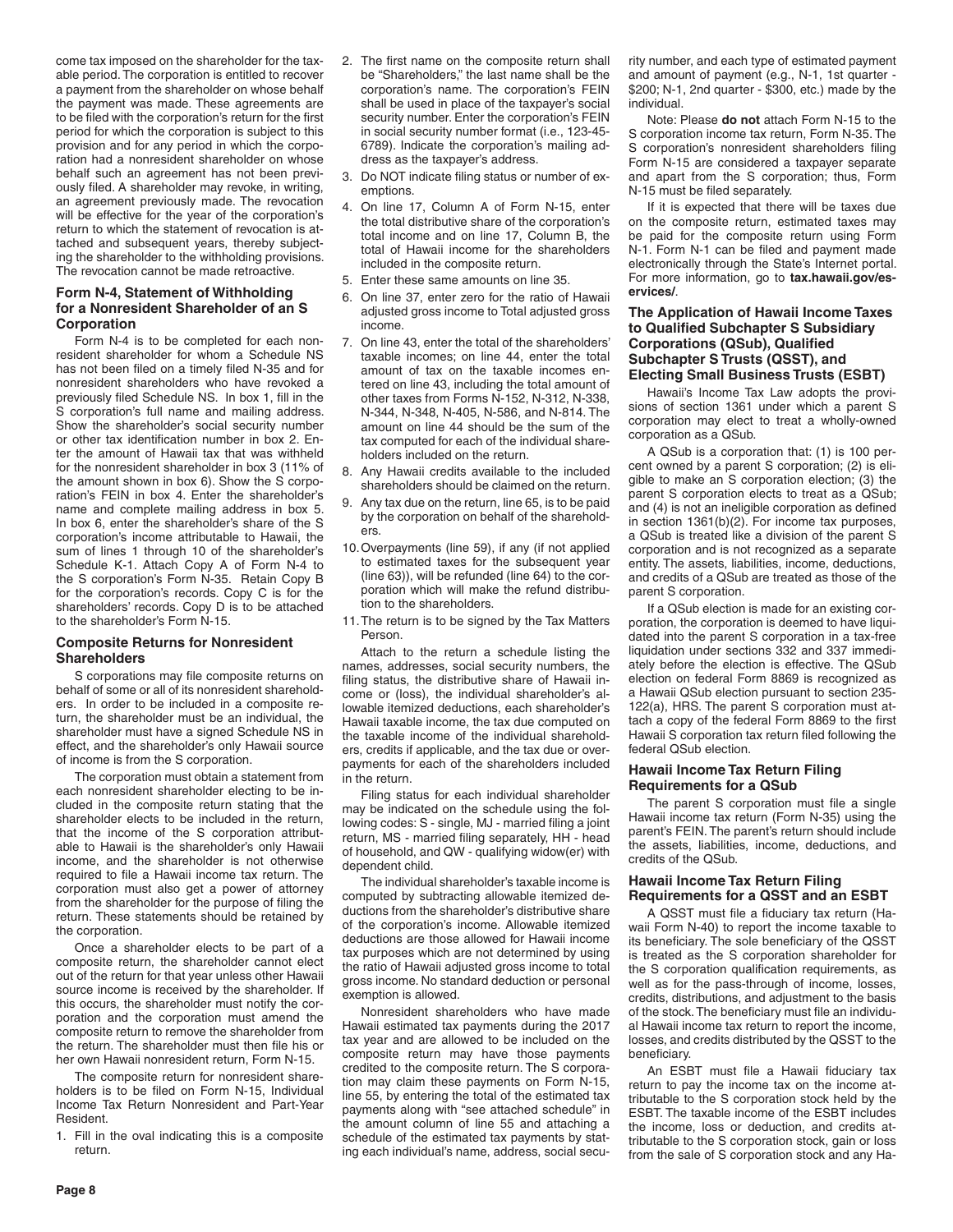come tax imposed on the shareholder for the taxable period. The corporation is entitled to recover a payment from the shareholder on whose behalf the payment was made. These agreements are to be filed with the corporation's return for the first period for which the corporation is subject to this provision and for any period in which the corporation had a nonresident shareholder on whose behalf such an agreement has not been previously filed. A shareholder may revoke, in writing, an agreement previously made. The revocation will be effective for the year of the corporation's return to which the statement of revocation is attached and subsequent years, thereby subjecting the shareholder to the withholding provisions. The revocation cannot be made retroactive.

# **Form N-4, Statement of Withholding for a Nonresident Shareholder of an S Corporation**

Form N-4 is to be completed for each nonresident shareholder for whom a Schedule NS has not been filed on a timely filed N-35 and for nonresident shareholders who have revoked a previously filed Schedule NS. In box 1, fill in the S corporation's full name and mailing address. Show the shareholder's social security number or other tax identification number in box 2. Enter the amount of Hawaii tax that was withheld for the nonresident shareholder in box 3 (11% of the amount shown in box 6). Show the S corporation's FEIN in box 4. Enter the shareholder's name and complete mailing address in box 5. In box 6, enter the shareholder's share of the S corporation's income attributable to Hawaii, the sum of lines 1 through 10 of the shareholder's Schedule K-1. Attach Copy A of Form N-4 to the S corporation's Form N-35. Retain Copy B for the corporation's records. Copy C is for the shareholders' records. Copy D is to be attached to the shareholder's Form N-15.

## **Composite Returns for Nonresident Shareholders**

S corporations may file composite returns on behalf of some or all of its nonresident shareholders. In order to be included in a composite return, the shareholder must be an individual, the shareholder must have a signed Schedule NS in effect, and the shareholder's only Hawaii source of income is from the S corporation.

The corporation must obtain a statement from each nonresident shareholder electing to be included in the composite return stating that the shareholder elects to be included in the return, that the income of the S corporation attributable to Hawaii is the shareholder's only Hawaii income, and the shareholder is not otherwise required to file a Hawaii income tax return. The corporation must also get a power of attorney from the shareholder for the purpose of filing the return. These statements should be retained by the corporation.

Once a shareholder elects to be part of a composite return, the shareholder cannot elect out of the return for that year unless other Hawaii source income is received by the shareholder. If this occurs, the shareholder must notify the corporation and the corporation must amend the composite return to remove the shareholder from the return. The shareholder must then file his or her own Hawaii nonresident return, Form N-15.

The composite return for nonresident shareholders is to be filed on Form N-15, Individual Income Tax Return Nonresident and Part-Year Resident.

1. Fill in the oval indicating this is a composite return.

- 2. The first name on the composite return shall be "Shareholders," the last name shall be the corporation's name. The corporation's FEIN shall be used in place of the taxpayer's social security number. Enter the corporation's FEIN in social security number format (i.e., 123-45- 6789). Indicate the corporation's mailing address as the taxpayer's address.
- 3. Do NOT indicate filing status or number of exemptions.
- 4. On line 17, Column A of Form N-15, enter the total distributive share of the corporation's total income and on line 17, Column B, the total of Hawaii income for the shareholders included in the composite return.
- 5. Enter these same amounts on line 35.
- 6. On line 37, enter zero for the ratio of Hawaii adjusted gross income to Total adjusted gross income.
- 7. On line 43, enter the total of the shareholders' taxable incomes; on line 44, enter the total amount of tax on the taxable incomes entered on line 43, including the total amount of other taxes from Forms N-152, N-312, N-338, N-344, N-348, N-405, N-586, and N-814. The amount on line 44 should be the sum of the tax computed for each of the individual shareholders included on the return.
- 8. Any Hawaii credits available to the included shareholders should be claimed on the return.
- 9. Any tax due on the return, line 65, is to be paid by the corporation on behalf of the shareholders.
- 10.Overpayments (line 59), if any (if not applied to estimated taxes for the subsequent year (line 63)), will be refunded (line 64) to the corporation which will make the refund distribution to the shareholders.
- 11.The return is to be signed by the Tax Matters Person.

Attach to the return a schedule listing the names, addresses, social security numbers, the filing status, the distributive share of Hawaii income or (loss), the individual shareholder's allowable itemized deductions, each shareholder's Hawaii taxable income, the tax due computed on the taxable income of the individual shareholders, credits if applicable, and the tax due or overpayments for each of the shareholders included in the return.

Filing status for each individual shareholder may be indicated on the schedule using the following codes: S - single, MJ - married filing a joint return, MS - married filing separately, HH - head of household, and QW - qualifying widow(er) with dependent child.

The individual shareholder's taxable income is computed by subtracting allowable itemized deductions from the shareholder's distributive share of the corporation's income. Allowable itemized deductions are those allowed for Hawaii income tax purposes which are not determined by using the ratio of Hawaii adjusted gross income to total gross income. No standard deduction or personal exemption is allowed.

Nonresident shareholders who have made Hawaii estimated tax payments during the 2017 tax year and are allowed to be included on the composite return may have those payments credited to the composite return. The S corporation may claim these payments on Form N-15, line 55, by entering the total of the estimated tax payments along with "see attached schedule" in the amount column of line 55 and attaching a schedule of the estimated tax payments by stating each individual's name, address, social security number, and each type of estimated payment and amount of payment (e.g., N-1, 1st quarter - \$200; N-1, 2nd quarter - \$300, etc.) made by the individual.

Note: Please **do not** attach Form N-15 to the S corporation income tax return, Form N-35. The S corporation's nonresident shareholders filing Form N-15 are considered a taxpayer separate and apart from the S corporation; thus, Form N-15 must be filed separately.

If it is expected that there will be taxes due on the composite return, estimated taxes may be paid for the composite return using Form N-1. Form N-1 can be filed and payment made electronically through the State's Internet portal. For more information, go to **tax.hawaii.gov/eservices/**.

# **The Application of Hawaii Income Taxes to Qualified Subchapter S Subsidiary Corporations (QSub), Qualified Subchapter S Trusts (QSST), and Electing Small Business Trusts (ESBT)**

Hawaii's Income Tax Law adopts the provisions of section 1361 under which a parent S corporation may elect to treat a wholly-owned corporation as a QSub.

A QSub is a corporation that: (1) is 100 percent owned by a parent S corporation; (2) is eligible to make an S corporation election; (3) the parent S corporation elects to treat as a QSub; and (4) is not an ineligible corporation as defined in section 1361(b)(2). For income tax purposes, a QSub is treated like a division of the parent S corporation and is not recognized as a separate entity. The assets, liabilities, income, deductions, and credits of a QSub are treated as those of the parent S corporation.

If a QSub election is made for an existing corporation, the corporation is deemed to have liquidated into the parent S corporation in a tax-free liquidation under sections 332 and 337 immediately before the election is effective. The QSub election on federal Form 8869 is recognized as a Hawaii QSub election pursuant to section 235- 122(a), HRS. The parent S corporation must attach a copy of the federal Form 8869 to the first Hawaii S corporation tax return filed following the federal QSub election.

# **Hawaii Income Tax Return Filing Requirements for a QSub**

The parent S corporation must file a single Hawaii income tax return (Form N-35) using the parent's FEIN. The parent's return should include the assets, liabilities, income, deductions, and credits of the QSub.

# **Hawaii Income Tax Return Filing Requirements for a QSST and an ESBT**

A QSST must file a fiduciary tax return (Hawaii Form N-40) to report the income taxable to its beneficiary. The sole beneficiary of the QSST is treated as the S corporation shareholder for the S corporation qualification requirements, as well as for the pass-through of income, losses, credits, distributions, and adjustment to the basis of the stock. The beneficiary must file an individual Hawaii income tax return to report the income, losses, and credits distributed by the QSST to the beneficiary.

An ESBT must file a Hawaii fiduciary tax return to pay the income tax on the income attributable to the S corporation stock held by the ESBT. The taxable income of the ESBT includes the income, loss or deduction, and credits attributable to the S corporation stock, gain or loss from the sale of S corporation stock and any Ha